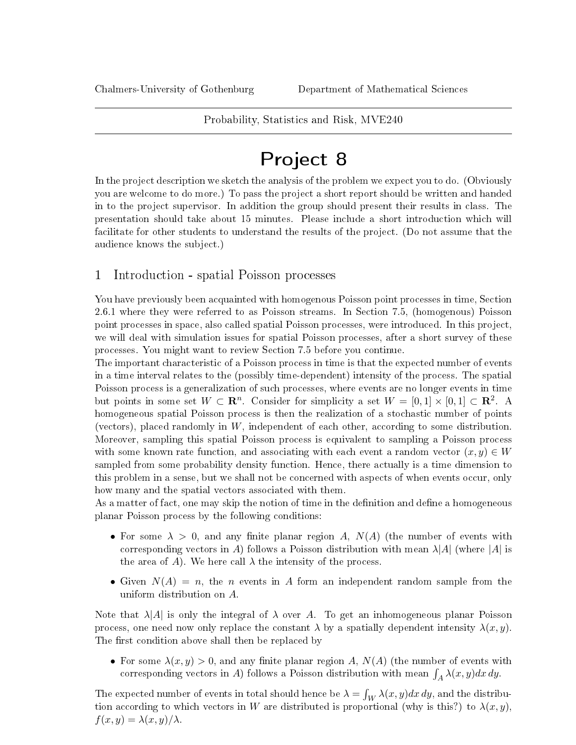Probability, Statistics and Risk, MVE240

# Project 8

In the project description we sketch the analysis of the problem we expect you to do. (Obviously you are welcome to do more.) To pass the project a short report should be written and handed in to the project supervisor. In addition the group should present their results in class. The presentation should take about 15 minutes. Please include a short introduction which will facilitate for other students to understand the results of the project. (Do not assume that the audience knows the subject.)

### 1 Introduction - spatial Poisson processes

You have previously been acquainted with homogenous Poisson point processes in time, Section 2.6.1 where they were referred to as Poisson streams. In Section 7.5, (homogenous) Poisson point processes in space, also called spatial Poisson processes, were introduced. In this project, we will deal with simulation issues for spatial Poisson processes, after a short survey of these processes. You might want to review Section 7.5 before you continue.

The important characteristic of a Poisson process in time is that the expected number of events in a time interval relates to the (possibly time-dependent) intensity of the process. The spatial Poisson process is a generalization of such processes, where events are no longer events in time but points in some set  $W \subset \mathbb{R}^n$ . Consider for simplicity a set  $W = [0,1] \times [0,1] \subset \mathbb{R}^2$ . A homogeneous spatial Poisson process is then the realization of a stochastic number of points (vectors), placed randomly in  $W$ , independent of each other, according to some distribution. Moreover, sampling this spatial Poisson process is equivalent to sampling a Poisson process with some known rate function, and associating with each event a random vector  $(x, y) \in W$ sampled from some probability density function. Hence, there actually is a time dimension to this problem in a sense, but we shall not be concerned with aspects of when events occur, only how many and the spatial vectors associated with them.

As a matter of fact, one may skip the notion of time in the definition and define a homogeneous planar Poisson process by the following conditions:

- For some  $\lambda > 0$ , and any finite planar region A,  $N(A)$  (the number of events with corresponding vectors in A) follows a Poisson distribution with mean  $\lambda |A|$  (where |A| is the area of A). We here call  $\lambda$  the intensity of the process.
- Given  $N(A) = n$ , the *n* events in A form an independent random sample from the uniform distribution on A.

Note that  $\lambda |A|$  is only the integral of  $\lambda$  over A. To get an inhomogeneous planar Poisson process, one need now only replace the constant  $\lambda$  by a spatially dependent intensity  $\lambda(x, y)$ . The first condition above shall then be replaced by

• For some  $\lambda(x, y) > 0$ , and any finite planar region A,  $N(A)$  (the number of events with corresponding vectors in A) follows a Poisson distribution with mean  $\int_A \lambda(x, y) dx dy$ .

The expected number of events in total should hence be  $\lambda = \int_W \lambda(x,y) dx dy$ , and the distribution according to which vectors in W are distributed is proportional (why is this?) to  $\lambda(x, y)$ .  $f(x, y) = \lambda(x, y)/\lambda$ .